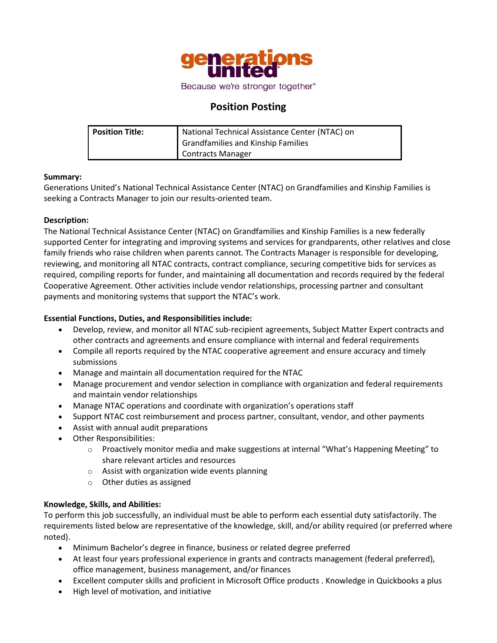

# **Position Posting**

| Position Title: | National Technical Assistance Center (NTAC) on |
|-----------------|------------------------------------------------|
|                 | Grandfamilies and Kinship Families             |
|                 | Contracts Manager                              |

### **Summary:**

Generations United's National Technical Assistance Center (NTAC) on Grandfamilies and Kinship Families is seeking a Contracts Manager to join our results-oriented team.

### **Description:**

The National Technical Assistance Center (NTAC) on Grandfamilies and Kinship Families is a new federally supported Center for integrating and improving systems and services for grandparents, other relatives and close family friends who raise children when parents cannot. The Contracts Manager is responsible for developing, reviewing, and monitoring all NTAC contracts, contract compliance, securing competitive bids for services as required, compiling reports for funder, and maintaining all documentation and records required by the federal Cooperative Agreement. Other activities include vendor relationships, processing partner and consultant payments and monitoring systems that support the NTAC's work.

# **Essential Functions, Duties, and Responsibilities include:**

- Develop, review, and monitor all NTAC sub-recipient agreements, Subject Matter Expert contracts and other contracts and agreements and ensure compliance with internal and federal requirements
- Compile all reports required by the NTAC cooperative agreement and ensure accuracy and timely submissions
- Manage and maintain all documentation required for the NTAC
- Manage procurement and vendor selection in compliance with organization and federal requirements and maintain vendor relationships
- Manage NTAC operations and coordinate with organization's operations staff
- Support NTAC cost reimbursement and process partner, consultant, vendor, and other payments
- Assist with annual audit preparations
- Other Responsibilities:
	- $\circ$  Proactively monitor media and make suggestions at internal "What's Happening Meeting" to share relevant articles and resources
	- $\circ$  Assist with organization wide events planning
	- o Other duties as assigned

# **Knowledge, Skills, and Abilities:**

To perform this job successfully, an individual must be able to perform each essential duty satisfactorily. The requirements listed below are representative of the knowledge, skill, and/or ability required (or preferred where noted).

- Minimum Bachelor's degree in finance, business or related degree preferred
- At least four years professional experience in grants and contracts management (federal preferred), office management, business management, and/or finances
- Excellent computer skills and proficient in Microsoft Office products . Knowledge in Quickbooks a plus
- High level of motivation, and initiative